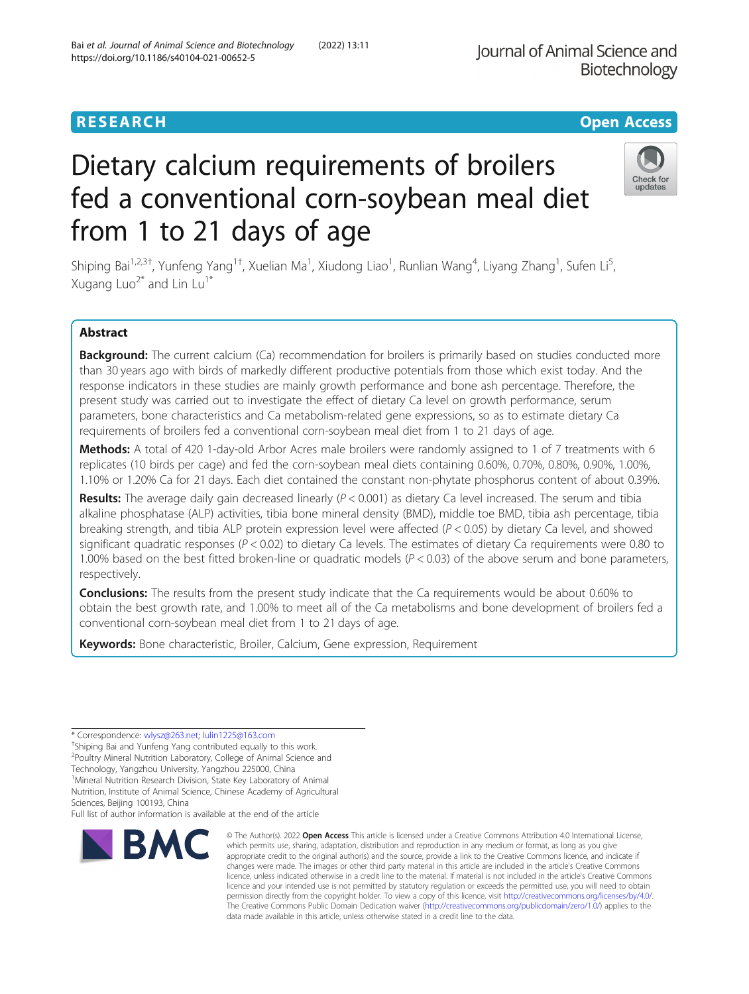## **RESEARCH CHE Open Access**

# Dietary calcium requirements of broilers fed a conventional corn-soybean meal diet from 1 to 21 days of age

Shiping Bai<sup>1,2,3†</sup>, Yunfeng Yang<sup>1†</sup>, Xuelian Ma<sup>1</sup>, Xiudong Liao<sup>1</sup>, Runlian Wang<sup>4</sup>, Liyang Zhang<sup>1</sup>, Sufen Li<sup>s</sup> , Xugang Luo<sup>2\*</sup> and Lin Lu<sup>1\*</sup>

## Abstract

Background: The current calcium (Ca) recommendation for broilers is primarily based on studies conducted more than 30 years ago with birds of markedly different productive potentials from those which exist today. And the response indicators in these studies are mainly growth performance and bone ash percentage. Therefore, the present study was carried out to investigate the effect of dietary Ca level on growth performance, serum parameters, bone characteristics and Ca metabolism-related gene expressions, so as to estimate dietary Ca requirements of broilers fed a conventional corn-soybean meal diet from 1 to 21 days of age.

Methods: A total of 420 1-day-old Arbor Acres male broilers were randomly assigned to 1 of 7 treatments with 6 replicates (10 birds per cage) and fed the corn-soybean meal diets containing 0.60%, 0.70%, 0.80%, 0.90%, 1.00%, 1.10% or 1.20% Ca for 21 days. Each diet contained the constant non-phytate phosphorus content of about 0.39%.

Results: The average daily gain decreased linearly ( $P < 0.001$ ) as dietary Ca level increased. The serum and tibia alkaline phosphatase (ALP) activities, tibia bone mineral density (BMD), middle toe BMD, tibia ash percentage, tibia breaking strength, and tibia ALP protein expression level were affected  $(P < 0.05)$  by dietary Ca level, and showed significant quadratic responses ( $P < 0.02$ ) to dietary Ca levels. The estimates of dietary Ca requirements were 0.80 to 1.00% based on the best fitted broken-line or quadratic models ( $P < 0.03$ ) of the above serum and bone parameters, respectively.

**Conclusions:** The results from the present study indicate that the Ca requirements would be about 0.60% to obtain the best growth rate, and 1.00% to meet all of the Ca metabolisms and bone development of broilers fed a conventional corn-soybean meal diet from 1 to 21 days of age.

Keywords: Bone characteristic, Broiler, Calcium, Gene expression, Requirement

\* Correspondence: [wlysz@263.net;](mailto:wlysz@263.net) [lulin1225@163.com](mailto:lulin1225@163.com) †

**BMC** 

Technology, Yangzhou University, Yangzhou 225000, China

Nutrition, Institute of Animal Science, Chinese Academy of Agricultural Sciences, Beijing 100193, China

Full list of author information is available at the end of the article

appropriate credit to the original author(s) and the source, provide a link to the Creative Commons licence, and indicate if changes were made. The images or other third party material in this article are included in the article's Creative Commons licence, unless indicated otherwise in a credit line to the material. If material is not included in the article's Creative Commons licence and your intended use is not permitted by statutory regulation or exceeds the permitted use, you will need to obtain permission directly from the copyright holder. To view a copy of this licence, visit [http://creativecommons.org/licenses/by/4.0/.](http://creativecommons.org/licenses/by/4.0/) The Creative Commons Public Domain Dedication waiver [\(http://creativecommons.org/publicdomain/zero/1.0/](http://creativecommons.org/publicdomain/zero/1.0/)) applies to the data made available in this article, unless otherwise stated in a credit line to the data.

© The Author(s), 2022 **Open Access** This article is licensed under a Creative Commons Attribution 4.0 International License, which permits use, sharing, adaptation, distribution and reproduction in any medium or format, as long as you give





<sup>&</sup>lt;sup>+</sup>Shiping Bai and Yunfeng Yang contributed equally to this work.

<sup>2</sup> Poultry Mineral Nutrition Laboratory, College of Animal Science and

<sup>&</sup>lt;sup>1</sup>Mineral Nutrition Research Division, State Key Laboratory of Animal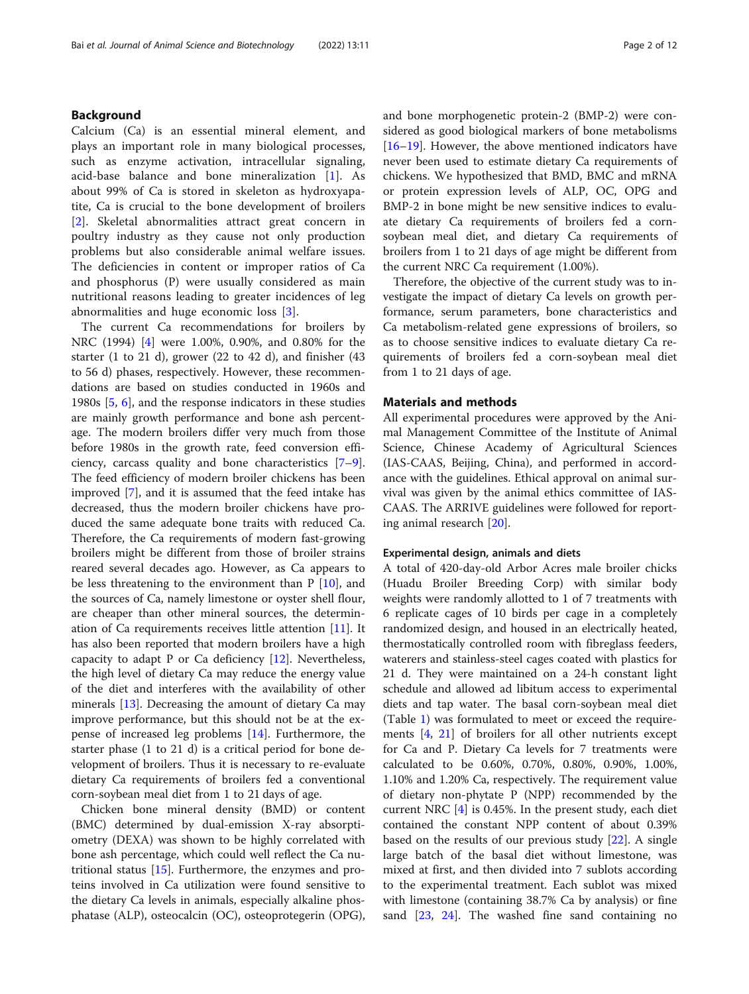## Background

Calcium (Ca) is an essential mineral element, and plays an important role in many biological processes, such as enzyme activation, intracellular signaling, acid-base balance and bone mineralization [[1\]](#page-9-0). As about 99% of Ca is stored in skeleton as hydroxyapatite, Ca is crucial to the bone development of broilers [[2\]](#page-9-0). Skeletal abnormalities attract great concern in poultry industry as they cause not only production problems but also considerable animal welfare issues. The deficiencies in content or improper ratios of Ca and phosphorus (P) were usually considered as main nutritional reasons leading to greater incidences of leg abnormalities and huge economic loss [\[3](#page-9-0)].

The current Ca recommendations for broilers by NRC (1994) [\[4](#page-9-0)] were 1.00%, 0.90%, and 0.80% for the starter (1 to 21 d), grower (22 to 42 d), and finisher (43 to 56 d) phases, respectively. However, these recommendations are based on studies conducted in 1960s and 1980s [\[5](#page-9-0), [6\]](#page-9-0), and the response indicators in these studies are mainly growth performance and bone ash percentage. The modern broilers differ very much from those before 1980s in the growth rate, feed conversion efficiency, carcass quality and bone characteristics [\[7](#page-9-0)–[9](#page-9-0)]. The feed efficiency of modern broiler chickens has been improved [\[7](#page-9-0)], and it is assumed that the feed intake has decreased, thus the modern broiler chickens have produced the same adequate bone traits with reduced Ca. Therefore, the Ca requirements of modern fast-growing broilers might be different from those of broiler strains reared several decades ago. However, as Ca appears to be less threatening to the environment than  $P$  [[10\]](#page-9-0), and the sources of Ca, namely limestone or oyster shell flour, are cheaper than other mineral sources, the determination of Ca requirements receives little attention [\[11](#page-9-0)]. It has also been reported that modern broilers have a high capacity to adapt P or Ca deficiency  $[12]$  $[12]$ . Nevertheless, the high level of dietary Ca may reduce the energy value of the diet and interferes with the availability of other minerals [\[13](#page-9-0)]. Decreasing the amount of dietary Ca may improve performance, but this should not be at the expense of increased leg problems [[14\]](#page-9-0). Furthermore, the starter phase (1 to 21 d) is a critical period for bone development of broilers. Thus it is necessary to re-evaluate dietary Ca requirements of broilers fed a conventional corn-soybean meal diet from 1 to 21 days of age.

Chicken bone mineral density (BMD) or content (BMC) determined by dual-emission X-ray absorptiometry (DEXA) was shown to be highly correlated with bone ash percentage, which could well reflect the Ca nutritional status [\[15\]](#page-9-0). Furthermore, the enzymes and proteins involved in Ca utilization were found sensitive to the dietary Ca levels in animals, especially alkaline phosphatase (ALP), osteocalcin (OC), osteoprotegerin (OPG), and bone morphogenetic protein-2 (BMP-2) were considered as good biological markers of bone metabolisms [[16](#page-9-0)–[19](#page-9-0)]. However, the above mentioned indicators have never been used to estimate dietary Ca requirements of chickens. We hypothesized that BMD, BMC and mRNA or protein expression levels of ALP, OC, OPG and BMP-2 in bone might be new sensitive indices to evaluate dietary Ca requirements of broilers fed a cornsoybean meal diet, and dietary Ca requirements of broilers from 1 to 21 days of age might be different from the current NRC Ca requirement (1.00%).

Therefore, the objective of the current study was to investigate the impact of dietary Ca levels on growth performance, serum parameters, bone characteristics and Ca metabolism-related gene expressions of broilers, so as to choose sensitive indices to evaluate dietary Ca requirements of broilers fed a corn-soybean meal diet from 1 to 21 days of age.

## Materials and methods

All experimental procedures were approved by the Animal Management Committee of the Institute of Animal Science, Chinese Academy of Agricultural Sciences (IAS-CAAS, Beijing, China), and performed in accordance with the guidelines. Ethical approval on animal survival was given by the animal ethics committee of IAS-CAAS. The ARRIVE guidelines were followed for reporting animal research [[20\]](#page-9-0).

## Experimental design, animals and diets

A total of 420-day-old Arbor Acres male broiler chicks (Huadu Broiler Breeding Corp) with similar body weights were randomly allotted to 1 of 7 treatments with 6 replicate cages of 10 birds per cage in a completely randomized design, and housed in an electrically heated, thermostatically controlled room with fibreglass feeders, waterers and stainless-steel cages coated with plastics for 21 d. They were maintained on a 24-h constant light schedule and allowed ad libitum access to experimental diets and tap water. The basal corn-soybean meal diet (Table [1](#page-2-0)) was formulated to meet or exceed the requirements [\[4](#page-9-0), [21\]](#page-9-0) of broilers for all other nutrients except for Ca and P. Dietary Ca levels for 7 treatments were calculated to be 0.60%, 0.70%, 0.80%, 0.90%, 1.00%, 1.10% and 1.20% Ca, respectively. The requirement value of dietary non-phytate P (NPP) recommended by the current NRC [\[4](#page-9-0)] is 0.45%. In the present study, each diet contained the constant NPP content of about 0.39% based on the results of our previous study [\[22](#page-9-0)]. A single large batch of the basal diet without limestone, was mixed at first, and then divided into 7 sublots according to the experimental treatment. Each sublot was mixed with limestone (containing 38.7% Ca by analysis) or fine sand [\[23,](#page-9-0) [24](#page-9-0)]. The washed fine sand containing no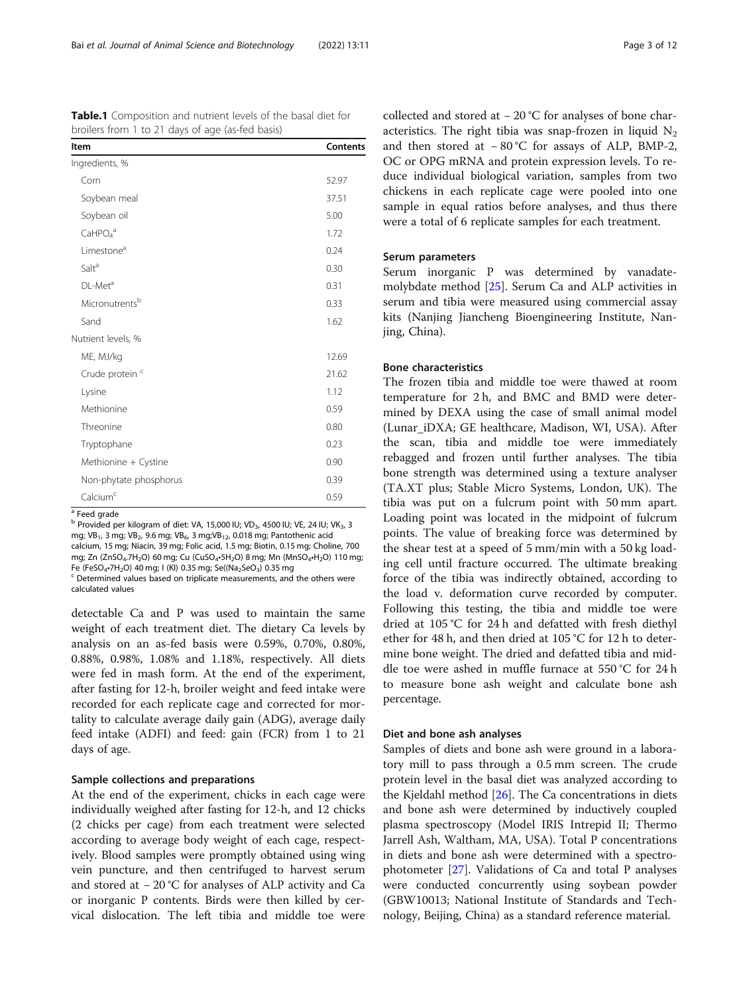<span id="page-2-0"></span>Table.1 Composition and nutrient levels of the basal diet for broilers from 1 to 21 days of age (as-fed basis)

| Item                            | Contents |
|---------------------------------|----------|
| Ingredients, %                  |          |
| Corn                            | 52.97    |
| Soybean meal                    | 37.51    |
| Soybean oil                     | 5.00     |
| CaHPO <sub>4</sub> <sup>a</sup> | 1.72     |
| Limestone <sup>a</sup>          | 0.24     |
| Salt <sup>a</sup>               | 0.30     |
| DL-Met <sup>a</sup>             | 0.31     |
| Micronutrentsb                  | 0.33     |
| Sand                            | 1.62     |
| Nutrient levels, %              |          |
| ME, MJ/kg                       | 12.69    |
| Crude protein <sup>c</sup>      | 21.62    |
| Lysine                          | 1.12     |
| Methionine                      | 0.59     |
| Threonine                       | 0.80     |
| Tryptophane                     | 0.23     |
| Methionine + Cystine            | 0.90     |
| Non-phytate phosphorus          | 0.39     |
| Calcium <sup>c</sup>            | 0.59     |

<sup>a</sup> Feed grade

b Provided per kilogram of diet: VA, 15,000 IU; VD<sub>3</sub>, 4500 IU; VE, 24 IU; VK<sub>3</sub>, 3 mg; VB<sub>1</sub>, 3 mg; VB<sub>2</sub>, 9.6 mg; VB<sub>6</sub>, 3 mg; VB<sub>12</sub>, 0.018 mg; Pantothenic acid calcium, 15 mg; Niacin, 39 mg; Folic acid, 1.5 mg; Biotin, 0.15 mg; Choline, 700 mg; Zn (ZnSO<sub>4</sub>.7H<sub>2</sub>O) 60 mg; Cu (CuSO<sub>4</sub>•5H<sub>2</sub>O) 8 mg; Mn (MnSO<sub>4</sub>•H<sub>2</sub>O) 110 mg; Fe (FeSO<sub>4</sub>•7H<sub>2</sub>O) 40 mg; I (KI) 0.35 mg; Se((Na<sub>2</sub>SeO<sub>3</sub>) 0.35 mg<br><sup>c</sup> Determined values based on triplicate measurements, and the others were

calculated values

detectable Ca and P was used to maintain the same weight of each treatment diet. The dietary Ca levels by analysis on an as-fed basis were 0.59%, 0.70%, 0.80%, 0.88%, 0.98%, 1.08% and 1.18%, respectively. All diets were fed in mash form. At the end of the experiment, after fasting for 12-h, broiler weight and feed intake were recorded for each replicate cage and corrected for mortality to calculate average daily gain (ADG), average daily feed intake (ADFI) and feed: gain (FCR) from 1 to 21 days of age.

## Sample collections and preparations

At the end of the experiment, chicks in each cage were individually weighed after fasting for 12-h, and 12 chicks (2 chicks per cage) from each treatment were selected according to average body weight of each cage, respectively. Blood samples were promptly obtained using wing vein puncture, and then centrifuged to harvest serum and stored at − 20 °C for analyses of ALP activity and Ca or inorganic P contents. Birds were then killed by cervical dislocation. The left tibia and middle toe were

collected and stored at − 20 °C for analyses of bone characteristics. The right tibia was snap-frozen in liquid  $N_2$ and then stored at − 80 °C for assays of ALP, BMP-2, OC or OPG mRNA and protein expression levels. To reduce individual biological variation, samples from two chickens in each replicate cage were pooled into one sample in equal ratios before analyses, and thus there were a total of 6 replicate samples for each treatment.

## Serum parameters

Serum inorganic P was determined by vanadatemolybdate method [[25](#page-10-0)]. Serum Ca and ALP activities in serum and tibia were measured using commercial assay kits (Nanjing Jiancheng Bioengineering Institute, Nanjing, China).

## Bone characteristics

The frozen tibia and middle toe were thawed at room temperature for 2 h, and BMC and BMD were determined by DEXA using the case of small animal model (Lunar\_iDXA; GE healthcare, Madison, WI, USA). After the scan, tibia and middle toe were immediately rebagged and frozen until further analyses. The tibia bone strength was determined using a texture analyser (TA.XT plus; Stable Micro Systems, London, UK). The tibia was put on a fulcrum point with 50 mm apart. Loading point was located in the midpoint of fulcrum points. The value of breaking force was determined by the shear test at a speed of 5 mm/min with a 50 kg loading cell until fracture occurred. The ultimate breaking force of the tibia was indirectly obtained, according to the load v. deformation curve recorded by computer. Following this testing, the tibia and middle toe were dried at 105 °C for 24 h and defatted with fresh diethyl ether for 48 h, and then dried at 105 °C for 12 h to determine bone weight. The dried and defatted tibia and middle toe were ashed in muffle furnace at 550 °C for 24 h to measure bone ash weight and calculate bone ash percentage.

## Diet and bone ash analyses

Samples of diets and bone ash were ground in a laboratory mill to pass through a 0.5 mm screen. The crude protein level in the basal diet was analyzed according to the Kjeldahl method [\[26](#page-10-0)]. The Ca concentrations in diets and bone ash were determined by inductively coupled plasma spectroscopy (Model IRIS Intrepid II; Thermo Jarrell Ash, Waltham, MA, USA). Total P concentrations in diets and bone ash were determined with a spectrophotometer [\[27](#page-10-0)]. Validations of Ca and total P analyses were conducted concurrently using soybean powder (GBW10013; National Institute of Standards and Technology, Beijing, China) as a standard reference material.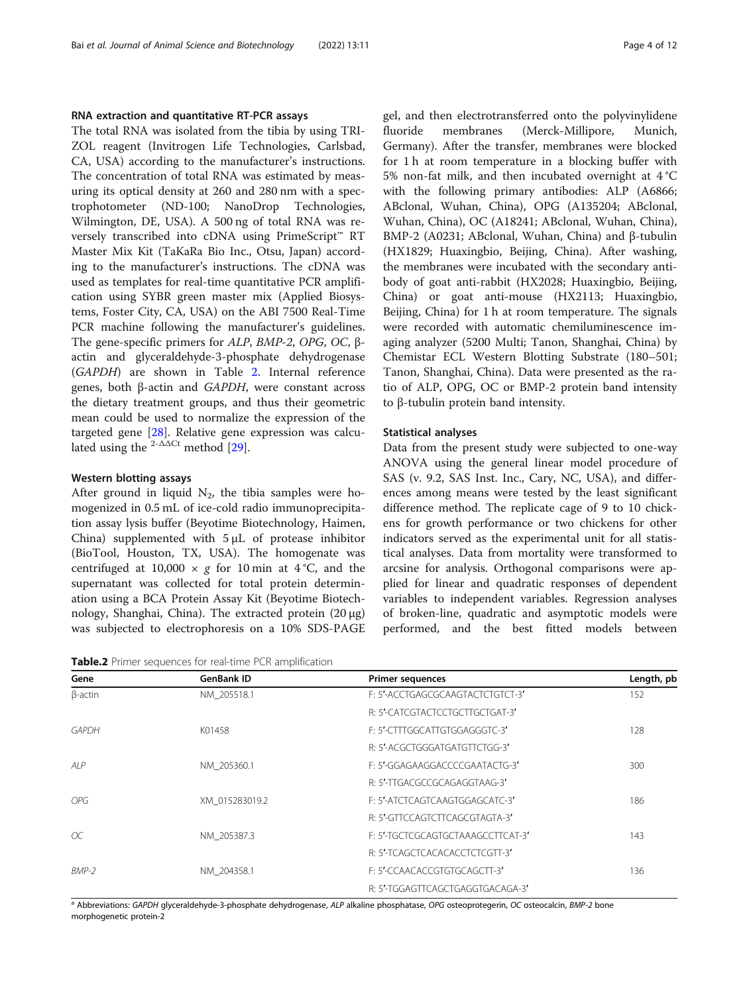## RNA extraction and quantitative RT-PCR assays

The total RNA was isolated from the tibia by using TRI-ZOL reagent (Invitrogen Life Technologies, Carlsbad, CA, USA) according to the manufacturer's instructions. The concentration of total RNA was estimated by measuring its optical density at 260 and 280 nm with a spectrophotometer (ND-100; NanoDrop Technologies, Wilmington, DE, USA). A 500 ng of total RNA was reversely transcribed into cDNA using PrimeScript™ RT Master Mix Kit (TaKaRa Bio Inc., Otsu, Japan) according to the manufacturer's instructions. The cDNA was used as templates for real-time quantitative PCR amplification using SYBR green master mix (Applied Biosystems, Foster City, CA, USA) on the ABI 7500 Real-Time PCR machine following the manufacturer's guidelines. The gene-specific primers for ALP, BMP-2, OPG, OC, <sup>β</sup>actin and glyceraldehyde-3-phosphate dehydrogenase (GAPDH) are shown in Table 2. Internal reference genes, both <sup>β</sup>-actin and GAPDH, were constant across the dietary treatment groups, and thus their geometric mean could be used to normalize the expression of the targeted gene [\[28](#page-10-0)]. Relative gene expression was calculated using the <sup>2- $\Delta\Delta$ Ct</sup> method [[29\]](#page-10-0).

## Western blotting assays

After ground in liquid  $N_2$ , the tibia samples were homogenized in 0.5 mL of ice-cold radio immunoprecipitation assay lysis buffer (Beyotime Biotechnology, Haimen, China) supplemented with 5 μL of protease inhibitor (BioTool, Houston, TX, USA). The homogenate was centrifuged at 10,000  $\times$  g for 10 min at 4 °C, and the supernatant was collected for total protein determination using a BCA Protein Assay Kit (Beyotime Biotechnology, Shanghai, China). The extracted protein (20 μg) was subjected to electrophoresis on a 10% SDS-PAGE

Table.2 Primer sequences for real-time PCR amplification

gel, and then electrotransferred onto the polyvinylidene fluoride membranes (Merck-Millipore, Munich, Germany). After the transfer, membranes were blocked for 1 h at room temperature in a blocking buffer with 5% non-fat milk, and then incubated overnight at 4 °C with the following primary antibodies: ALP (A6866; ABclonal, Wuhan, China), OPG (A135204; ABclonal, Wuhan, China), OC (A18241; ABclonal, Wuhan, China), BMP-2 (A0231; ABclonal, Wuhan, China) and β-tubulin (HX1829; Huaxingbio, Beijing, China). After washing, the membranes were incubated with the secondary antibody of goat anti-rabbit (HX2028; Huaxingbio, Beijing, China) or goat anti-mouse (HX2113; Huaxingbio, Beijing, China) for 1 h at room temperature. The signals were recorded with automatic chemiluminescence imaging analyzer (5200 Multi; Tanon, Shanghai, China) by Chemistar ECL Western Blotting Substrate (180–501; Tanon, Shanghai, China). Data were presented as the ratio of ALP, OPG, OC or BMP-2 protein band intensity to β-tubulin protein band intensity.

## Statistical analyses

Data from the present study were subjected to one-way ANOVA using the general linear model procedure of SAS (v. 9.2, SAS Inst. Inc., Cary, NC, USA), and differences among means were tested by the least significant difference method. The replicate cage of 9 to 10 chickens for growth performance or two chickens for other indicators served as the experimental unit for all statistical analyses. Data from mortality were transformed to arcsine for analysis. Orthogonal comparisons were applied for linear and quadratic responses of dependent variables to independent variables. Regression analyses of broken-line, quadratic and asymptotic models were performed, and the best fitted models between

| Gene           | <b>GenBank ID</b> | <b>Primer sequences</b>           | Length, pb |
|----------------|-------------------|-----------------------------------|------------|
| $\beta$ -actin | NM 205518.1       | F: 5'-ACCTGAGCGCAAGTACTCTGTCT-3'  | 152        |
|                |                   | R: 5'-CATCGTACTCCTGCTTGCTGAT-3'   |            |
| <b>GAPDH</b>   | K01458            | F: 5'-CTTTGGCATTGTGGAGGGTC-3'     | 128        |
|                |                   | R: 5'-ACGCTGGGATGATGTTCTGG-3'     |            |
| AIP            | NM 205360.1       | F: 5'-GGAGAAGGACCCCGAATACTG-3'    | 300        |
|                |                   | R: 5'-TTGACGCCGCAGAGGTAAG-3'      |            |
| <b>OPG</b>     | XM 015283019.2    | F: 5'-ATCTCAGTCAAGTGGAGCATC-3'    | 186        |
|                |                   | R: 5'-GTTCCAGTCTTCAGCGTAGTA-3'    |            |
| ОC             | NM 205387.3       | E: 5'-TGCTCGCAGTGCTAAAGCCTTCAT-3' | 143        |
|                |                   | R: 5'-TCAGCTCACACACCTCTCGTT-3'    |            |
| BMP-2          | NM 204358.1       | F: 5'-CCAACACCGTGTGCAGCTT-3'      | 136        |
|                |                   | R: 5'-TGGAGTTCAGCTGAGGTGACAGA-3'  |            |

<sup>a</sup> Abbreviations: GAPDH glyceraldehyde-3-phosphate dehydrogenase, ALP alkaline phosphatase, OPG osteoprotegerin, OC osteocalcin, BMP-2 bone morphogenetic protein-2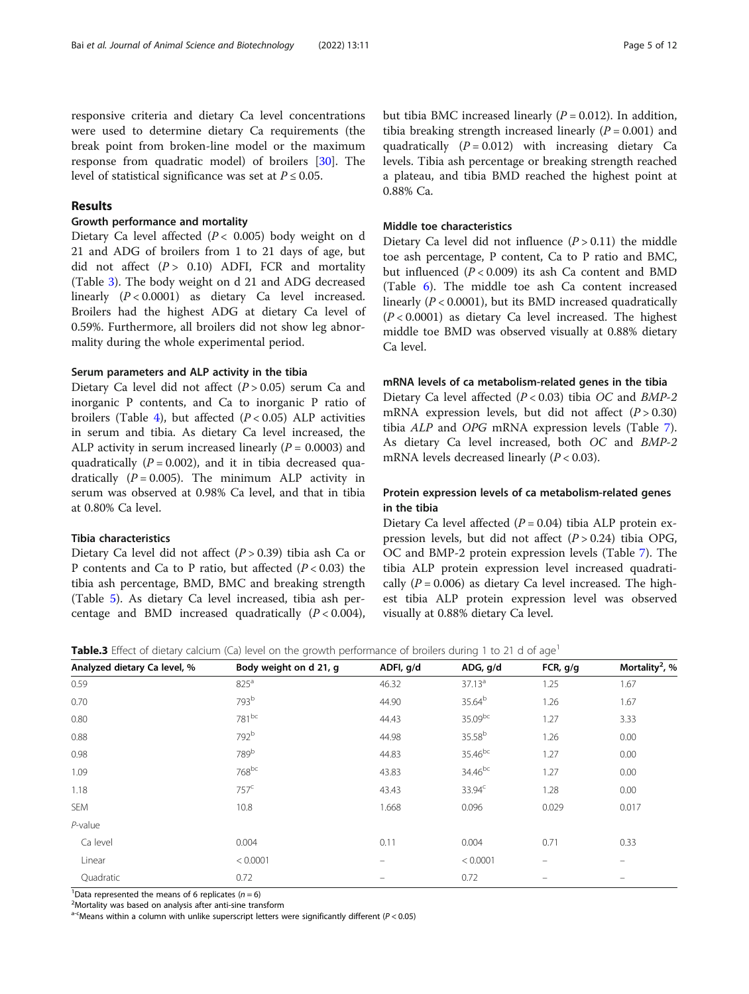responsive criteria and dietary Ca level concentrations were used to determine dietary Ca requirements (the break point from broken-line model or the maximum response from quadratic model) of broilers [[30\]](#page-10-0). The level of statistical significance was set at  $P \le 0.05$ .

## Results

## Growth performance and mortality

Dietary Ca level affected ( $P < 0.005$ ) body weight on d 21 and ADG of broilers from 1 to 21 days of age, but did not affect  $(P > 0.10)$  ADFI, FCR and mortality (Table 3). The body weight on d 21 and ADG decreased linearly  $(P < 0.0001)$  as dietary Ca level increased. Broilers had the highest ADG at dietary Ca level of 0.59%. Furthermore, all broilers did not show leg abnormality during the whole experimental period.

## Serum parameters and ALP activity in the tibia

Dietary Ca level did not affect  $(P > 0.05)$  serum Ca and inorganic P contents, and Ca to inorganic P ratio of broilers (Table [4](#page-5-0)), but affected  $(P < 0.05)$  ALP activities in serum and tibia. As dietary Ca level increased, the ALP activity in serum increased linearly  $(P = 0.0003)$  and quadratically  $(P = 0.002)$ , and it in tibia decreased quadratically  $(P = 0.005)$ . The minimum ALP activity in serum was observed at 0.98% Ca level, and that in tibia at 0.80% Ca level.

## Tibia characteristics

Dietary Ca level did not affect  $(P > 0.39)$  tibia ash Ca or P contents and Ca to P ratio, but affected  $(P < 0.03)$  the tibia ash percentage, BMD, BMC and breaking strength (Table [5](#page-5-0)). As dietary Ca level increased, tibia ash percentage and BMD increased quadratically  $(P < 0.004)$ , but tibia BMC increased linearly  $(P = 0.012)$ . In addition, tibia breaking strength increased linearly ( $P = 0.001$ ) and quadratically  $(P = 0.012)$  with increasing dietary Ca levels. Tibia ash percentage or breaking strength reached a plateau, and tibia BMD reached the highest point at 0.88% Ca.

## Middle toe characteristics

Dietary Ca level did not influence  $(P > 0.11)$  the middle toe ash percentage, P content, Ca to P ratio and BMC, but influenced  $(P < 0.009)$  its ash Ca content and BMD (Table [6\)](#page-6-0). The middle toe ash Ca content increased linearly  $(P < 0.0001)$ , but its BMD increased quadratically  $(P < 0.0001)$  as dietary Ca level increased. The highest middle toe BMD was observed visually at 0.88% dietary Ca level.

## mRNA levels of ca metabolism-related genes in the tibia

Dietary Ca level affected  $(P < 0.03)$  tibia OC and BMP-2 mRNA expression levels, but did not affect  $(P > 0.30)$ tibia ALP and OPG mRNA expression levels (Table [7](#page-6-0)). As dietary Ca level increased, both OC and BMP-2 mRNA levels decreased linearly  $(P < 0.03)$ .

## Protein expression levels of ca metabolism-related genes in the tibia

Dietary Ca level affected  $(P = 0.04)$  tibia ALP protein expression levels, but did not affect  $(P > 0.24)$  tibia OPG, OC and BMP-2 protein expression levels (Table [7\)](#page-6-0). The tibia ALP protein expression level increased quadratically ( $P = 0.006$ ) as dietary Ca level increased. The highest tibia ALP protein expression level was observed visually at 0.88% dietary Ca level.

Table.3 Effect of dietary calcium (Ca) level on the growth performance of broilers during 1 to 21 d of age<sup>1</sup>

| Analyzed dietary Ca level, % | Body weight on d 21, g | ADFI, g/d                | ADG, g/d           | FCR, g/g                 | Mortality <sup>2</sup> , % |
|------------------------------|------------------------|--------------------------|--------------------|--------------------------|----------------------------|
| 0.59                         | 825 <sup>a</sup>       | 46.32                    | 37.13 <sup>a</sup> | 1.25                     | 1.67                       |
| 0.70                         | 793b                   | 44.90                    | 35.64 <sup>b</sup> | 1.26                     | 1.67                       |
| 0.80                         | 781bc                  | 44.43                    | 35.09bc            | 1.27                     | 3.33                       |
| 0.88                         | 792 <sup>b</sup>       | 44.98                    | 35.58 <sup>b</sup> | 1.26                     | 0.00                       |
| 0.98                         | 789b                   | 44.83                    | 35.46bc            | 1.27                     | 0.00                       |
| 1.09                         | 768bc                  | 43.83                    | $34.46^{bc}$       | 1.27                     | 0.00                       |
| 1.18                         | 757 <sup>c</sup>       | 43.43                    | 33.94 <sup>c</sup> | 1.28                     | 0.00                       |
| SEM                          | 10.8                   | 1.668                    | 0.096              | 0.029                    | 0.017                      |
| $P$ -value                   |                        |                          |                    |                          |                            |
| Ca level                     | 0.004                  | 0.11                     | 0.004              | 0.71                     | 0.33                       |
| Linear                       | < 0.0001               | $\qquad \qquad -$        | < 0.0001           | $\overline{\phantom{0}}$ | -                          |
| Quadratic                    | 0.72                   | $\overline{\phantom{0}}$ | 0.72               | $\equiv$                 | $\equiv$                   |

<sup>1</sup>Data represented the means of 6 replicates  $(n=6)$ <sup>2</sup>Mortality was based on applying after anti-sine trans

Mortality was based on analysis after anti-sine transform

 $a$ -cMeans within a column with unlike superscript letters were significantly different ( $P < 0.05$ )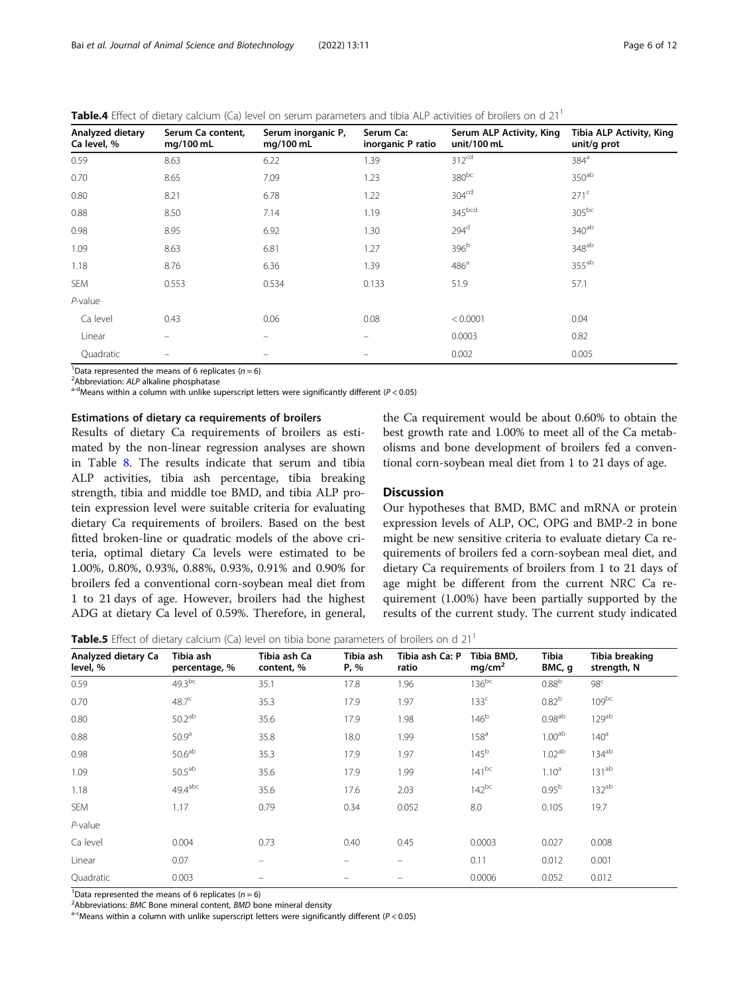<span id="page-5-0"></span>Table.4 Effect of dietary calcium (Ca) level on serum parameters and tibia ALP activities of broilers on d 21<sup>1</sup>

| Analyzed dietary<br>Ca level, % | Serum Ca content,<br>mg/100 mL | Serum inorganic P,<br>mg/100 mL | Serum Ca:<br>inorganic P ratio | Serum ALP Activity, King<br>unit/100 mL | Tibia ALP Activity, King<br>unit/g prot |
|---------------------------------|--------------------------------|---------------------------------|--------------------------------|-----------------------------------------|-----------------------------------------|
| 0.59                            | 8.63                           | 6.22                            | 1.39                           | 312 <sup>cd</sup>                       | 384 <sup>a</sup>                        |
| 0.70                            | 8.65                           | 7.09                            | 1.23                           | 380bc                                   | 350 <sup>ab</sup>                       |
| 0.80                            | 8.21                           | 6.78                            | 1.22                           | 304 <sup>cd</sup>                       | 271 <sup>c</sup>                        |
| 0.88                            | 8.50                           | 7.14                            | 1.19                           | 345 <sup>bcd</sup>                      | $305^{bc}$                              |
| 0.98                            | 8.95                           | 6.92                            | 1.30                           | 294 <sup>d</sup>                        | 340 <sup>ab</sup>                       |
| 1.09                            | 8.63                           | 6.81                            | 1.27                           | 396 <sup>b</sup>                        | 348 <sup>ab</sup>                       |
| 1.18                            | 8.76                           | 6.36                            | 1.39                           | 486 <sup>a</sup>                        | $355^{ab}$                              |
| <b>SEM</b>                      | 0.553                          | 0.534                           | 0.133                          | 51.9                                    | 57.1                                    |
| $P$ -value                      |                                |                                 |                                |                                         |                                         |
| Ca level                        | 0.43                           | 0.06                            | 0.08                           | < 0.0001                                | 0.04                                    |
| Linear                          | $\equiv$                       | $\equiv$                        | $\qquad \qquad =$              | 0.0003                                  | 0.82                                    |
| Quadratic                       |                                |                                 | -                              | 0.002                                   | 0.005                                   |

<sup>1</sup>Data represented the means of 6 replicates ( $n = 6$ )<sup>2</sup>Abbreviation: ALP alkaline phosphatase

<sup>2</sup>Abbreviation: ALP alkaline phosphatase<br>  $a^{-d}$ Means within a column with unlike superscript letters were significantly different (P < 0.05)

## Estimations of dietary ca requirements of broilers

Results of dietary Ca requirements of broilers as estimated by the non-linear regression analyses are shown in Table [8.](#page-7-0) The results indicate that serum and tibia ALP activities, tibia ash percentage, tibia breaking strength, tibia and middle toe BMD, and tibia ALP protein expression level were suitable criteria for evaluating dietary Ca requirements of broilers. Based on the best fitted broken-line or quadratic models of the above criteria, optimal dietary Ca levels were estimated to be 1.00%, 0.80%, 0.93%, 0.88%, 0.93%, 0.91% and 0.90% for broilers fed a conventional corn-soybean meal diet from 1 to 21 days of age. However, broilers had the highest ADG at dietary Ca level of 0.59%. Therefore, in general, the Ca requirement would be about 0.60% to obtain the best growth rate and 1.00% to meet all of the Ca metabolisms and bone development of broilers fed a conventional corn-soybean meal diet from 1 to 21 days of age.

## **Discussion**

Our hypotheses that BMD, BMC and mRNA or protein expression levels of ALP, OC, OPG and BMP-2 in bone might be new sensitive criteria to evaluate dietary Ca requirements of broilers fed a corn-soybean meal diet, and dietary Ca requirements of broilers from 1 to 21 days of age might be different from the current NRC Ca requirement (1.00%) have been partially supported by the results of the current study. The current study indicated

**Table.5** Effect of dietary calcium (Ca) level on tibia bone parameters of broilers on d  $21<sup>1</sup>$ 

| Analyzed dietary Ca<br>level, % | Tibia ash<br>percentage, % | Tibia ash Ca<br>content, % | Tibia ash<br>P, % | Tibia ash Ca: P<br>ratio | Tibia BMD,<br>mg/cm <sup>2</sup> | Tibia<br>BMC, q    | Tibia breaking<br>strength, N |
|---------------------------------|----------------------------|----------------------------|-------------------|--------------------------|----------------------------------|--------------------|-------------------------------|
| 0.59                            | $49.3^{bc}$                | 35.1                       | 17.8              | 1.96                     | $136^{bc}$                       | 0.88 <sup>b</sup>  | 98 <sup>c</sup>               |
| 0.70                            | 48.7 <sup>c</sup>          | 35.3                       | 17.9              | 1.97                     | 133 <sup>c</sup>                 | 0.82 <sup>b</sup>  | $109^{bc}$                    |
| 0.80                            | 50.2 <sup>ab</sup>         | 35.6                       | 17.9              | 1.98                     | 146 <sup>b</sup>                 | $0.98^{ab}$        | 129 <sup>ab</sup>             |
| 0.88                            | 50.9 <sup>a</sup>          | 35.8                       | 18.0              | 1.99                     | 158 <sup>a</sup>                 | 1.00 <sup>ab</sup> | 140 <sup>a</sup>              |
| 0.98                            | 50.6 <sup>ab</sup>         | 35.3                       | 17.9              | 1.97                     | 145 <sup>b</sup>                 | 1.02 <sup>ab</sup> | 134 <sup>ab</sup>             |
| 1.09                            | $50.5^{ab}$                | 35.6                       | 17.9              | 1.99                     | $141^{bc}$                       | $1.10^a$           | $131^{ab}$                    |
| 1.18                            | $49.4$ <sup>abc</sup>      | 35.6                       | 17.6              | 2.03                     | $142^{bc}$                       | 0.95 <sup>b</sup>  | $132^{ab}$                    |
| <b>SEM</b>                      | 1.17                       | 0.79                       | 0.34              | 0.052                    | 8.0                              | 0.105              | 19.7                          |
| $P$ -value                      |                            |                            |                   |                          |                                  |                    |                               |
| Ca level                        | 0.004                      | 0.73                       | 0.40              | 0.45                     | 0.0003                           | 0.027              | 0.008                         |
| Linear                          | 0.07                       | -                          |                   | -                        | 0.11                             | 0.012              | 0.001                         |
| Quadratic                       | 0.003                      | -                          |                   | $\equiv$                 | 0.0006                           | 0.052              | 0.012                         |

<sup>1</sup>Data represented the means of 6 replicates  $(n=6)^2$ <br><sup>2</sup>Abbroviations: *PMC* Bono mineral content, *PMD* be

<sup>2</sup>Abbreviations: BMC Bone mineral content, BMD bone mineral density different (P < 0.05) a<sup>-c</sup>Means within a column with unlike superscript letters were significantly different (P < 0.05)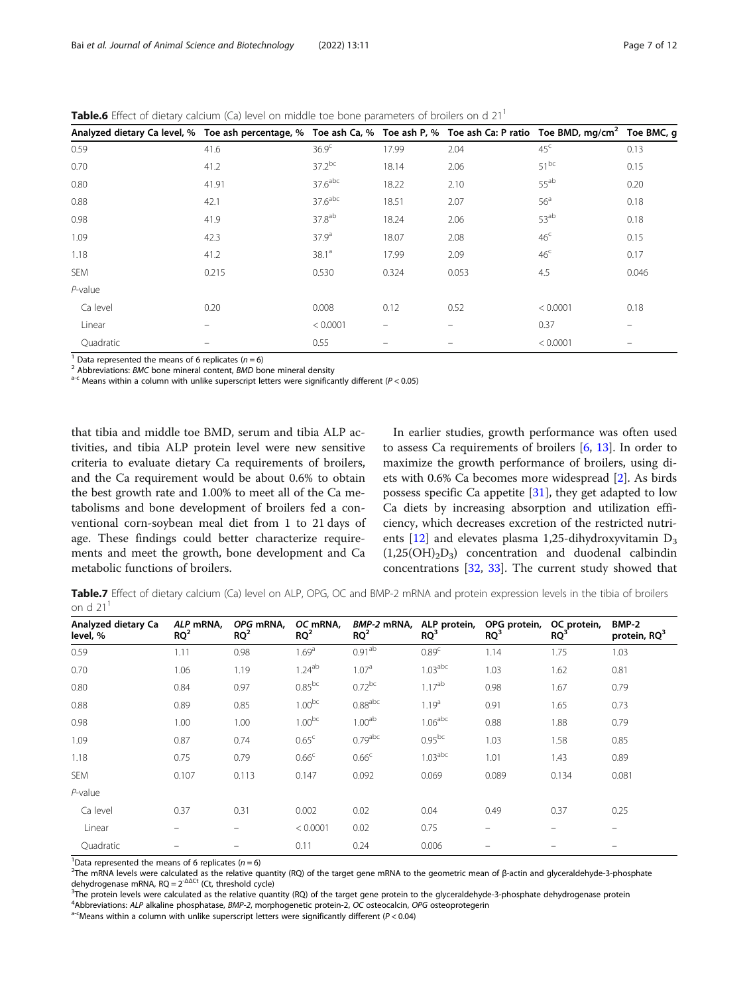<span id="page-6-0"></span>**Table.6** Effect of dietary calcium (Ca) level on middle toe bone parameters of broilers on d  $21<sup>1</sup>$ 

| Analyzed dietary Ca level, % Toe ash percentage, % Toe ash Ca, % Toe ash P, % Toe ash Ca: P ratio Toe BMD, mg/cm <sup>2</sup> Toe BMC, g |                          |                       |       |       |                  |       |
|------------------------------------------------------------------------------------------------------------------------------------------|--------------------------|-----------------------|-------|-------|------------------|-------|
| 0.59                                                                                                                                     | 41.6                     | 36.9 <sup>c</sup>     | 17.99 | 2.04  | 45 <sup>c</sup>  | 0.13  |
| 0.70                                                                                                                                     | 41.2                     | $37.2^{bc}$           | 18.14 | 2.06  | $51^{bc}$        | 0.15  |
| 0.80                                                                                                                                     | 41.91                    | $37.6$ abc            | 18.22 | 2.10  | 55 <sup>ab</sup> | 0.20  |
| 0.88                                                                                                                                     | 42.1                     | $37.6$ <sup>abc</sup> | 18.51 | 2.07  | 56 <sup>a</sup>  | 0.18  |
| 0.98                                                                                                                                     | 41.9                     | 37.8 <sup>ab</sup>    | 18.24 | 2.06  | 53 <sup>ab</sup> | 0.18  |
| 1.09                                                                                                                                     | 42.3                     | 37.9 <sup>a</sup>     | 18.07 | 2.08  | 46 <sup>c</sup>  | 0.15  |
| 1.18                                                                                                                                     | 41.2                     | $38.1^a$              | 17.99 | 2.09  | 46 <sup>c</sup>  | 0.17  |
| SEM                                                                                                                                      | 0.215                    | 0.530                 | 0.324 | 0.053 | 4.5              | 0.046 |
| $P$ -value                                                                                                                               |                          |                       |       |       |                  |       |
| Ca level                                                                                                                                 | 0.20                     | 0.008                 | 0.12  | 0.52  | < 0.0001         | 0.18  |
| Linear                                                                                                                                   |                          | < 0.0001              |       |       | 0.37             |       |
| Quadratic                                                                                                                                | $\qquad \qquad \qquad =$ | 0.55                  |       |       | < 0.0001         |       |

<sup>1</sup> Data represented the means of 6 replicates (n = 6)<br><sup>2</sup> Abbreviations: BMC bone mineral content, BMD bone mineral density<br><sup>a-c</sup> Means within a column with unlike superscript letters were significantly different (P < 0.

that tibia and middle toe BMD, serum and tibia ALP activities, and tibia ALP protein level were new sensitive criteria to evaluate dietary Ca requirements of broilers, and the Ca requirement would be about 0.6% to obtain the best growth rate and 1.00% to meet all of the Ca metabolisms and bone development of broilers fed a conventional corn-soybean meal diet from 1 to 21 days of age. These findings could better characterize requirements and meet the growth, bone development and Ca metabolic functions of broilers.

In earlier studies, growth performance was often used to assess Ca requirements of broilers [\[6,](#page-9-0) [13](#page-9-0)]. In order to maximize the growth performance of broilers, using diets with 0.6% Ca becomes more widespread [\[2](#page-9-0)]. As birds possess specific Ca appetite  $[31]$  $[31]$ , they get adapted to low Ca diets by increasing absorption and utilization efficiency, which decreases excretion of the restricted nutrients  $[12]$  $[12]$  and elevates plasma 1,25-dihydroxyvitamin  $D_3$  $(1,25(OH)_{2}D_{3})$  concentration and duodenal calbindin concentrations [\[32](#page-10-0), [33](#page-10-0)]. The current study showed that

Table.7 Effect of dietary calcium (Ca) level on ALP, OPG, OC and BMP-2 mRNA and protein expression levels in the tibia of broilers on d  $21<sup>1</sup>$ 

| Analyzed dietary Ca<br>level, % | ALP mRNA,<br>$RQ^2$ | OPG mRNA,<br>$RQ^2$ | OC mRNA,<br>$RQ^2$ | BMP-2 mRNA,<br>$RQ^2$ | ALP protein,<br>RQ <sup>3</sup> | OPG protein,<br>RQ <sup>3</sup> | OC protein,<br>$RQ^3$ | BMP-2<br>protein, RQ <sup>3</sup> |
|---------------------------------|---------------------|---------------------|--------------------|-----------------------|---------------------------------|---------------------------------|-----------------------|-----------------------------------|
| 0.59                            | 1.11                | 0.98                | 1.69 <sup>a</sup>  | 0.91 <sup>ab</sup>    | 0.89 <sup>c</sup>               | 1.14                            | 1.75                  | 1.03                              |
| 0.70                            | 1.06                | 1.19                | $1.24^{ab}$        | 1.07 <sup>a</sup>     | 1.03 <sup>abc</sup>             | 1.03                            | 1.62                  | 0.81                              |
| 0.80                            | 0.84                | 0.97                | $0.85^{bc}$        | $0.72^{bc}$           | $1.17^{ab}$                     | 0.98                            | 1.67                  | 0.79                              |
| 0.88                            | 0.89                | 0.85                | $1.00^{bc}$        | $0.88^{\rm abc}$      | 1.19 <sup>a</sup>               | 0.91                            | 1.65                  | 0.73                              |
| 0.98                            | 1.00                | 1.00                | $1.00^{bc}$        | 1.00 <sup>ab</sup>    | 1.06 <sup>abc</sup>             | 0.88                            | 1.88                  | 0.79                              |
| 1.09                            | 0.87                | 0.74                | 0.65 <sup>c</sup>  | $0.79$ abc            | $0.95^{bc}$                     | 1.03                            | 1.58                  | 0.85                              |
| 1.18                            | 0.75                | 0.79                | 0.66 <sup>c</sup>  | 0.66 <sup>c</sup>     | 1.03 <sup>abc</sup>             | 1.01                            | 1.43                  | 0.89                              |
| <b>SEM</b>                      | 0.107               | 0.113               | 0.147              | 0.092                 | 0.069                           | 0.089                           | 0.134                 | 0.081                             |
| $P$ -value                      |                     |                     |                    |                       |                                 |                                 |                       |                                   |
| Ca level                        | 0.37                | 0.31                | 0.002              | 0.02                  | 0.04                            | 0.49                            | 0.37                  | 0.25                              |
| Linear                          |                     |                     | < 0.0001           | 0.02                  | 0.75                            | -                               |                       |                                   |
| Quadratic                       |                     | -                   | 0.11               | 0.24                  | 0.006                           | -                               |                       | -                                 |

<sup>1</sup>Data represented the means of 6 replicates  $(n=6)$ <sup>2</sup>The mPNA lovels were selected as the relative g

<sup>2</sup>The mRNA levels were calculated as the relative quantity (RQ) of the target gene mRNA to the geometric mean of β-actin and glyceraldehyde-3-phosphate dehydrogenase mRNA,  $RQ = 2^{-\Delta\Delta Ct}$  (Ct, threshold cycle)

 $3$ The protein levels were calculated as the relative quantity (RQ) of the target gene protein to the glyceraldehyde-3-phosphate dehydrogenase protein  $4$ Abbreviations: ALP alkaline phosphatase, BMP-2, morphogenetic prote

 $a$ -CMeans within a column with unlike superscript letters were significantly different (P < 0.04)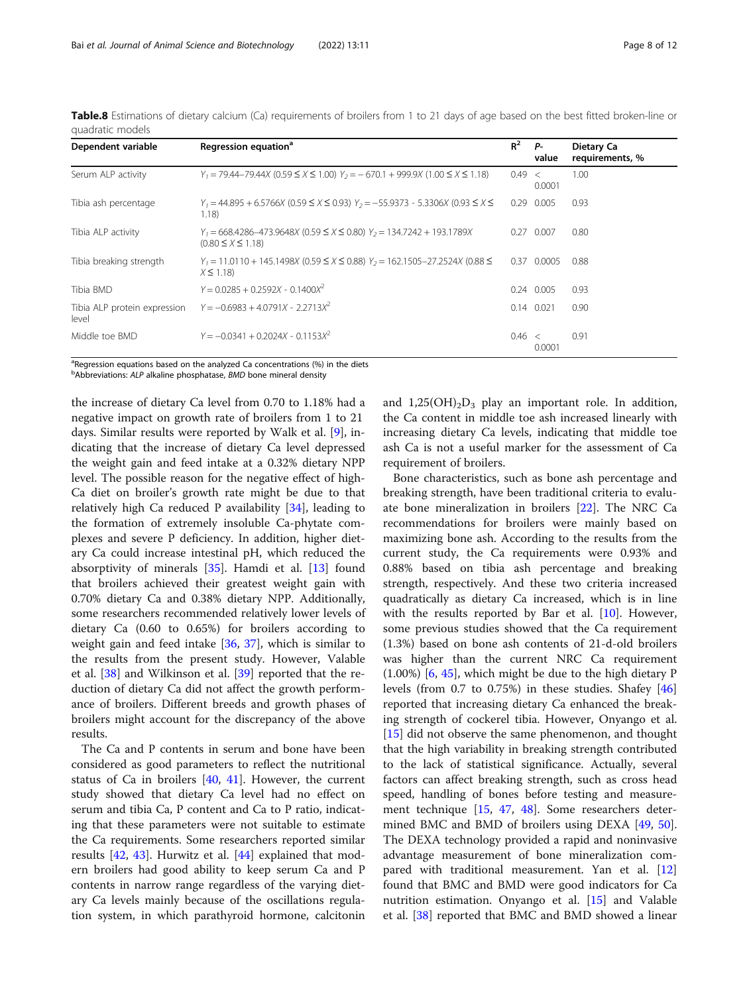| Dependent variable                    | Regression equation <sup>a</sup>                                                                              | $R^2$  | <b>P</b> -<br>value | Dietary Ca<br>requirements, % |
|---------------------------------------|---------------------------------------------------------------------------------------------------------------|--------|---------------------|-------------------------------|
| Serum ALP activity                    | $Y_1 = 79.44 - 79.44X (0.59 \le X \le 1.00)$ $Y_2 = -670.1 + 999.9X (1.00 \le X \le 1.18)$                    | 0.49 < | 0.0001              | 1.00                          |
| Tibia ash percentage                  | $Y_1 = 44.895 + 6.5766X (0.59 \le X \le 0.93) Y_2 = -55.9373 - 5.3306X (0.93 \le X \le 0.93)$<br>1.18)        | 0.29   | 0.005               | 0.93                          |
| Tibia ALP activity                    | $Y_1 = 668.4286 - 473.9648X (0.59 \le X \le 0.80)$ $Y_2 = 134.7242 + 193.1789X$<br>$(0.80 \le X \le 1.18)$    | 0.27   | 0.007               | 0.80                          |
| Tibia breaking strength               | $Y_1 = 11.0110 + 145.1498X (0.59 \le X \le 0.88)$ $Y_2 = 162.1505 - 27.2524X (0.88 \le Y_1)$<br>$X \leq 1.18$ | 0.37   | 0.0005              | 0.88                          |
| Tibia BMD                             | $Y = 0.0285 + 0.2592X - 0.1400X^2$                                                                            |        | 0.24 0.005          | 0.93                          |
| Tibia ALP protein expression<br>level | $Y = -0.6983 + 4.0791X - 2.2713X^2$                                                                           |        | $0.14$ $0.021$      | 0.90                          |
| Middle toe BMD                        | $Y = -0.0341 + 0.2024X - 0.1153X^2$                                                                           | 0.46 < | 0.0001              | 0.91                          |

<span id="page-7-0"></span>Table.8 Estimations of dietary calcium (Ca) requirements of broilers from 1 to 21 days of age based on the best fitted broken-line or quadratic models

<sup>a</sup>Regression equations based on the analyzed Ca concentrations (%) in the diets

<sup>b</sup>Abbreviations: ALP alkaline phosphatase, BMD bone mineral density

the increase of dietary Ca level from 0.70 to 1.18% had a negative impact on growth rate of broilers from 1 to 21 days. Similar results were reported by Walk et al. [[9\]](#page-9-0), indicating that the increase of dietary Ca level depressed the weight gain and feed intake at a 0.32% dietary NPP level. The possible reason for the negative effect of high-Ca diet on broiler's growth rate might be due to that relatively high Ca reduced P availability [\[34\]](#page-10-0), leading to the formation of extremely insoluble Ca-phytate complexes and severe P deficiency. In addition, higher dietary Ca could increase intestinal pH, which reduced the absorptivity of minerals [[35](#page-10-0)]. Hamdi et al. [[13](#page-9-0)] found that broilers achieved their greatest weight gain with 0.70% dietary Ca and 0.38% dietary NPP. Additionally, some researchers recommended relatively lower levels of dietary Ca (0.60 to 0.65%) for broilers according to weight gain and feed intake [[36,](#page-10-0) [37](#page-10-0)], which is similar to the results from the present study. However, Valable et al. [[38\]](#page-10-0) and Wilkinson et al. [\[39\]](#page-10-0) reported that the reduction of dietary Ca did not affect the growth performance of broilers. Different breeds and growth phases of broilers might account for the discrepancy of the above results.

The Ca and P contents in serum and bone have been considered as good parameters to reflect the nutritional status of Ca in broilers [[40,](#page-10-0) [41](#page-10-0)]. However, the current study showed that dietary Ca level had no effect on serum and tibia Ca, P content and Ca to P ratio, indicating that these parameters were not suitable to estimate the Ca requirements. Some researchers reported similar results [\[42](#page-10-0), [43\]](#page-10-0). Hurwitz et al. [\[44](#page-10-0)] explained that modern broilers had good ability to keep serum Ca and P contents in narrow range regardless of the varying dietary Ca levels mainly because of the oscillations regulation system, in which parathyroid hormone, calcitonin and  $1,25(OH)_{2}D_{3}$  play an important role. In addition, the Ca content in middle toe ash increased linearly with increasing dietary Ca levels, indicating that middle toe ash Ca is not a useful marker for the assessment of Ca requirement of broilers.

Bone characteristics, such as bone ash percentage and breaking strength, have been traditional criteria to evaluate bone mineralization in broilers [[22](#page-9-0)]. The NRC Ca recommendations for broilers were mainly based on maximizing bone ash. According to the results from the current study, the Ca requirements were 0.93% and 0.88% based on tibia ash percentage and breaking strength, respectively. And these two criteria increased quadratically as dietary Ca increased, which is in line with the results reported by Bar et al.  $[10]$  $[10]$ . However, some previous studies showed that the Ca requirement (1.3%) based on bone ash contents of 21-d-old broilers was higher than the current NRC Ca requirement (1.00%) [[6,](#page-9-0) [45\]](#page-10-0), which might be due to the high dietary P levels (from 0.7 to 0.75%) in these studies. Shafey [[46](#page-10-0)] reported that increasing dietary Ca enhanced the breaking strength of cockerel tibia. However, Onyango et al. [[15\]](#page-9-0) did not observe the same phenomenon, and thought that the high variability in breaking strength contributed to the lack of statistical significance. Actually, several factors can affect breaking strength, such as cross head speed, handling of bones before testing and measurement technique [[15,](#page-9-0) [47,](#page-10-0) [48](#page-10-0)]. Some researchers deter-mined BMC and BMD of broilers using DEXA [[49,](#page-10-0) [50](#page-10-0)]. The DEXA technology provided a rapid and noninvasive advantage measurement of bone mineralization compared with traditional measurement. Yan et al. [[12](#page-9-0)] found that BMC and BMD were good indicators for Ca nutrition estimation. Onyango et al. [[15\]](#page-9-0) and Valable et al. [\[38](#page-10-0)] reported that BMC and BMD showed a linear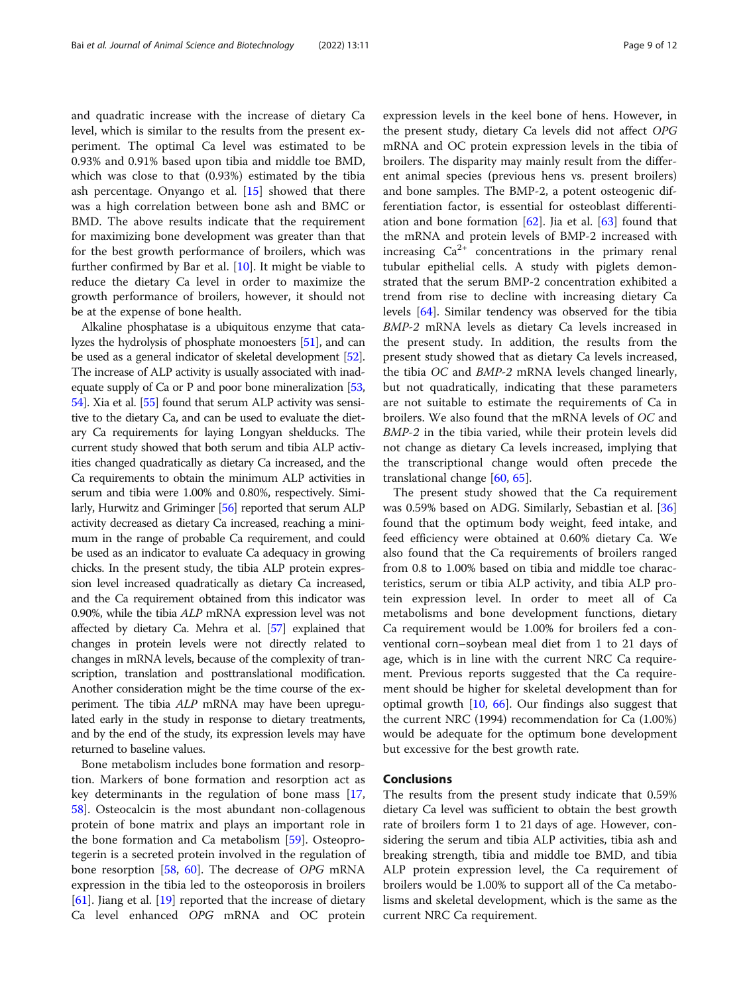and quadratic increase with the increase of dietary Ca level, which is similar to the results from the present experiment. The optimal Ca level was estimated to be 0.93% and 0.91% based upon tibia and middle toe BMD, which was close to that (0.93%) estimated by the tibia ash percentage. Onyango et al. [\[15](#page-9-0)] showed that there was a high correlation between bone ash and BMC or BMD. The above results indicate that the requirement for maximizing bone development was greater than that for the best growth performance of broilers, which was further confirmed by Bar et al. [[10](#page-9-0)]. It might be viable to reduce the dietary Ca level in order to maximize the growth performance of broilers, however, it should not be at the expense of bone health.

Alkaline phosphatase is a ubiquitous enzyme that catalyzes the hydrolysis of phosphate monoesters [\[51\]](#page-10-0), and can be used as a general indicator of skeletal development [\[52](#page-10-0)]. The increase of ALP activity is usually associated with inadequate supply of Ca or P and poor bone mineralization [\[53](#page-10-0), [54](#page-10-0)]. Xia et al. [\[55](#page-10-0)] found that serum ALP activity was sensitive to the dietary Ca, and can be used to evaluate the dietary Ca requirements for laying Longyan shelducks. The current study showed that both serum and tibia ALP activities changed quadratically as dietary Ca increased, and the Ca requirements to obtain the minimum ALP activities in serum and tibia were 1.00% and 0.80%, respectively. Similarly, Hurwitz and Griminger [\[56\]](#page-10-0) reported that serum ALP activity decreased as dietary Ca increased, reaching a minimum in the range of probable Ca requirement, and could be used as an indicator to evaluate Ca adequacy in growing chicks. In the present study, the tibia ALP protein expression level increased quadratically as dietary Ca increased, and the Ca requirement obtained from this indicator was 0.90%, while the tibia ALP mRNA expression level was not affected by dietary Ca. Mehra et al. [\[57\]](#page-10-0) explained that changes in protein levels were not directly related to changes in mRNA levels, because of the complexity of transcription, translation and posttranslational modification. Another consideration might be the time course of the experiment. The tibia ALP mRNA may have been upregulated early in the study in response to dietary treatments, and by the end of the study, its expression levels may have returned to baseline values.

Bone metabolism includes bone formation and resorption. Markers of bone formation and resorption act as key determinants in the regulation of bone mass [[17](#page-9-0), [58\]](#page-10-0). Osteocalcin is the most abundant non-collagenous protein of bone matrix and plays an important role in the bone formation and Ca metabolism [[59\]](#page-10-0). Osteoprotegerin is a secreted protein involved in the regulation of bone resorption [[58](#page-10-0), [60\]](#page-10-0). The decrease of OPG mRNA expression in the tibia led to the osteoporosis in broilers [[61\]](#page-10-0). Jiang et al. [[19\]](#page-9-0) reported that the increase of dietary Ca level enhanced OPG mRNA and OC protein

expression levels in the keel bone of hens. However, in the present study, dietary Ca levels did not affect OPG mRNA and OC protein expression levels in the tibia of broilers. The disparity may mainly result from the different animal species (previous hens vs. present broilers) and bone samples. The BMP-2, a potent osteogenic differentiation factor, is essential for osteoblast differentiation and bone formation  $[62]$  $[62]$ . Jia et al.  $[63]$  $[63]$  found that the mRNA and protein levels of BMP-2 increased with increasing  $Ca^{2+}$  concentrations in the primary renal tubular epithelial cells. A study with piglets demonstrated that the serum BMP-2 concentration exhibited a trend from rise to decline with increasing dietary Ca levels [\[64](#page-11-0)]. Similar tendency was observed for the tibia BMP-2 mRNA levels as dietary Ca levels increased in the present study. In addition, the results from the present study showed that as dietary Ca levels increased, the tibia OC and BMP-2 mRNA levels changed linearly, but not quadratically, indicating that these parameters are not suitable to estimate the requirements of Ca in broilers. We also found that the mRNA levels of OC and BMP-2 in the tibia varied, while their protein levels did not change as dietary Ca levels increased, implying that the transcriptional change would often precede the translational change [\[60,](#page-10-0) [65\]](#page-11-0).

The present study showed that the Ca requirement was 0.59% based on ADG. Similarly, Sebastian et al. [[36](#page-10-0)] found that the optimum body weight, feed intake, and feed efficiency were obtained at 0.60% dietary Ca. We also found that the Ca requirements of broilers ranged from 0.8 to 1.00% based on tibia and middle toe characteristics, serum or tibia ALP activity, and tibia ALP protein expression level. In order to meet all of Ca metabolisms and bone development functions, dietary Ca requirement would be 1.00% for broilers fed a conventional corn–soybean meal diet from 1 to 21 days of age, which is in line with the current NRC Ca requirement. Previous reports suggested that the Ca requirement should be higher for skeletal development than for optimal growth [\[10,](#page-9-0) [66\]](#page-11-0). Our findings also suggest that the current NRC (1994) recommendation for Ca (1.00%) would be adequate for the optimum bone development but excessive for the best growth rate.

## Conclusions

The results from the present study indicate that 0.59% dietary Ca level was sufficient to obtain the best growth rate of broilers form 1 to 21 days of age. However, considering the serum and tibia ALP activities, tibia ash and breaking strength, tibia and middle toe BMD, and tibia ALP protein expression level, the Ca requirement of broilers would be 1.00% to support all of the Ca metabolisms and skeletal development, which is the same as the current NRC Ca requirement.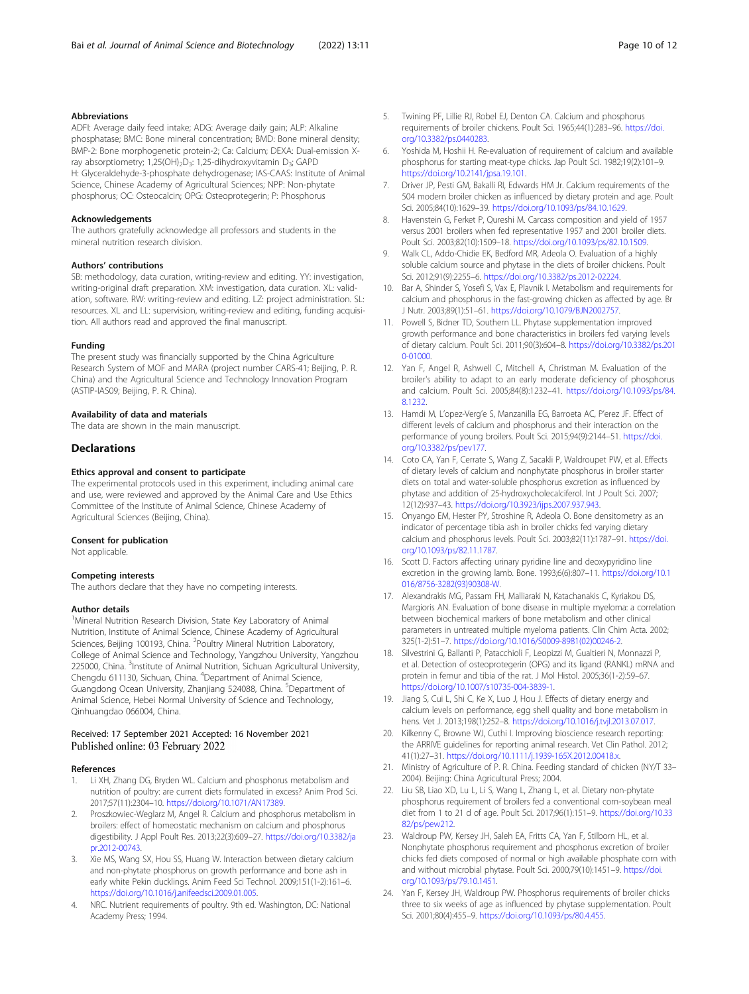## <span id="page-9-0"></span>Abbreviations

ADFI: Average daily feed intake; ADG: Average daily gain; ALP: Alkaline phosphatase; BMC: Bone mineral concentration; BMD: Bone mineral density; BMP-2: Bone morphogenetic protein-2; Ca: Calcium; DEXA: Dual-emission Xray absorptiometry; 1,25(OH)<sub>2</sub>D<sub>3</sub>: 1,25-dihydroxyvitamin D<sub>3</sub>; GAPD H: Glyceraldehyde-3-phosphate dehydrogenase; IAS-CAAS: Institute of Animal Science, Chinese Academy of Agricultural Sciences; NPP: Non-phytate phosphorus; OC: Osteocalcin; OPG: Osteoprotegerin; P: Phosphorus

#### Acknowledgements

The authors gratefully acknowledge all professors and students in the mineral nutrition research division.

## Authors' contributions

SB: methodology, data curation, writing-review and editing. YY: investigation, writing-original draft preparation. XM: investigation, data curation. XL: validation, software. RW: writing-review and editing. LZ: project administration. SL: resources. XL and LL: supervision, writing-review and editing, funding acquisition. All authors read and approved the final manuscript.

#### Funding

The present study was financially supported by the China Agriculture Research System of MOF and MARA (project number CARS-41; Beijing, P. R. China) and the Agricultural Science and Technology Innovation Program (ASTIP-IAS09; Beijing, P. R. China).

#### Availability of data and materials

The data are shown in the main manuscript.

## **Declarations**

## Ethics approval and consent to participate

The experimental protocols used in this experiment, including animal care and use, were reviewed and approved by the Animal Care and Use Ethics Committee of the Institute of Animal Science, Chinese Academy of Agricultural Sciences (Beijing, China).

#### Consent for publication

Not applicable.

## Competing interests

The authors declare that they have no competing interests.

#### Author details

<sup>1</sup>Mineral Nutrition Research Division, State Key Laboratory of Animal Nutrition, Institute of Animal Science, Chinese Academy of Agricultural Sciences, Beijing 100193, China. <sup>2</sup>Poultry Mineral Nutrition Laboratory, College of Animal Science and Technology, Yangzhou University, Yangzhou 225000, China. <sup>3</sup>Institute of Animal Nutrition, Sichuan Agricultural University, Chengdu 611130, Sichuan, China. <sup>4</sup>Department of Animal Science, Guangdong Ocean University, Zhanjiang 524088, China. <sup>5</sup>Department of Animal Science, Hebei Normal University of Science and Technology, Qinhuangdao 066004, China.

#### Received: 17 September 2021 Accepted: 16 November 2021 Published online: 03 February 2022

#### References

- Li XH, Zhang DG, Bryden WL. Calcium and phosphorus metabolism and nutrition of poultry: are current diets formulated in excess? Anim Prod Sci. 2017;57(11):2304–10. <https://doi.org/10.1071/AN17389>.
- Proszkowiec-Weglarz M, Angel R. Calcium and phosphorus metabolism in broilers: effect of homeostatic mechanism on calcium and phosphorus digestibility. J Appl Poult Res. 2013;22(3):609–27. [https://doi.org/10.3382/ja](https://doi.org/10.3382/japr.2012-00743) [pr.2012-00743.](https://doi.org/10.3382/japr.2012-00743)
- 3. Xie MS, Wang SX, Hou SS, Huang W. Interaction between dietary calcium and non-phytate phosphorus on growth performance and bone ash in early white Pekin ducklings. Anim Feed Sci Technol. 2009;151(1-2):161–6. <https://doi.org/10.1016/j.anifeedsci.2009.01.005>.
- 4. NRC. Nutrient requirements of poultry. 9th ed. Washington, DC: National Academy Press; 1994.
- 5. Twining PF, Lillie RJ, Robel EJ, Denton CA. Calcium and phosphorus requirements of broiler chickens. Poult Sci. 1965;44(1):283–96. [https://doi.](https://doi.org/10.3382/ps.0440283) [org/10.3382/ps.0440283.](https://doi.org/10.3382/ps.0440283)
- Yoshida M, Hoshii H. Re-evaluation of requirement of calcium and available phosphorus for starting meat-type chicks. Jap Poult Sci. 1982;19(2):101–9. <https://doi.org/10.2141/jpsa.19.101>.
- 7. Driver JP, Pesti GM, Bakalli RI, Edwards HM Jr. Calcium requirements of the 504 modern broiler chicken as influenced by dietary protein and age. Poult Sci. 2005;84(10):1629–39. <https://doi.org/10.1093/ps/84.10.1629>.
- 8. Havenstein G, Ferket P, Qureshi M. Carcass composition and yield of 1957 versus 2001 broilers when fed representative 1957 and 2001 broiler diets. Poult Sci. 2003;82(10):1509–18. <https://doi.org/10.1093/ps/82.10.1509>.
- 9. Walk CL, Addo-Chidie EK, Bedford MR, Adeola O. Evaluation of a highly soluble calcium source and phytase in the diets of broiler chickens. Poult Sci. 2012;91(9):2255–6. <https://doi.org/10.3382/ps.2012-02224>.
- 10. Bar A, Shinder S, Yosefi S, Vax E, Plavnik I. Metabolism and requirements for calcium and phosphorus in the fast-growing chicken as affected by age. Br J Nutr. 2003;89(1):51–61. <https://doi.org/10.1079/BJN2002757>.
- 11. Powell S, Bidner TD, Southern LL. Phytase supplementation improved growth performance and bone characteristics in broilers fed varying levels of dietary calcium. Poult Sci. 2011;90(3):604–8. [https://doi.org/10.3382/ps.201](https://doi.org/10.3382/ps.2010-01000) [0-01000](https://doi.org/10.3382/ps.2010-01000).
- 12. Yan F, Angel R, Ashwell C, Mitchell A, Christman M. Evaluation of the broiler's ability to adapt to an early moderate deficiency of phosphorus and calcium. Poult Sci. 2005;84(8):1232–41. [https://doi.org/10.1093/ps/84.](https://doi.org/10.1093/ps/84.8.1232) [8.1232.](https://doi.org/10.1093/ps/84.8.1232)
- 13. Hamdi M, L'opez-Verg'e S, Manzanilla EG, Barroeta AC, P'erez JF. Effect of different levels of calcium and phosphorus and their interaction on the performance of young broilers. Poult Sci. 2015;94(9):2144–51. [https://doi.](https://doi.org/10.3382/ps/pev177) [org/10.3382/ps/pev177.](https://doi.org/10.3382/ps/pev177)
- 14. Coto CA, Yan F, Cerrate S, Wang Z, Sacakli P, Waldroupet PW, et al. Effects of dietary levels of calcium and nonphytate phosphorus in broiler starter diets on total and water-soluble phosphorus excretion as influenced by phytase and addition of 25-hydroxycholecalciferol. Int J Poult Sci. 2007; 12(12):937–43. [https://doi.org/10.3923/ijps.2007.937.943.](https://doi.org/10.3923/ijps.2007.937.943)
- 15. Onyango EM, Hester PY, Stroshine R, Adeola O. Bone densitometry as an indicator of percentage tibia ash in broiler chicks fed varying dietary calcium and phosphorus levels. Poult Sci. 2003;82(11):1787–91. [https://doi.](https://doi.org/10.1093/ps/82.11.1787) [org/10.1093/ps/82.11.1787.](https://doi.org/10.1093/ps/82.11.1787)
- 16. Scott D. Factors affecting urinary pyridine line and deoxypyridino line excretion in the growing lamb. Bone. 1993;6(6):807–11. [https://doi.org/10.1](https://doi.org/10.1016/8756-3282(93)90308-W) [016/8756-3282\(93\)90308-W](https://doi.org/10.1016/8756-3282(93)90308-W).
- 17. Alexandrakis MG, Passam FH, Malliaraki N, Katachanakis C, Kyriakou DS, Margioris AN. Evaluation of bone disease in multiple myeloma: a correlation between biochemical markers of bone metabolism and other clinical parameters in untreated multiple myeloma patients. Clin Chim Acta. 2002; 325(1-2):51–7. [https://doi.org/10.1016/S0009-8981\(02\)00246-2.](https://doi.org/10.1016/S0009-8981(02)00246-2)
- 18. Silvestrini G, Ballanti P, Patacchioli F, Leopizzi M, Gualtieri N, Monnazzi P, et al. Detection of osteoprotegerin (OPG) and its ligand (RANKL) mRNA and protein in femur and tibia of the rat. J Mol Histol. 2005;36(1-2):59–67. <https://doi.org/10.1007/s10735-004-3839-1>.
- 19. Jiang S, Cui L, Shi C, Ke X, Luo J, Hou J. Effects of dietary energy and calcium levels on performance, egg shell quality and bone metabolism in hens. Vet J. 2013;198(1):252–8. <https://doi.org/10.1016/j.tvjl.2013.07.017>.
- 20. Kilkenny C, Browne WJ, Cuthi I. Improving bioscience research reporting: the ARRIVE guidelines for reporting animal research. Vet Clin Pathol. 2012; 41(1):27–31. <https://doi.org/10.1111/j.1939-165X.2012.00418.x>.
- 21. Ministry of Agriculture of P. R. China. Feeding standard of chicken (NY/T 33– 2004). Beijing: China Agricultural Press; 2004.
- 22. Liu SB, Liao XD, Lu L, Li S, Wang L, Zhang L, et al. Dietary non-phytate phosphorus requirement of broilers fed a conventional corn-soybean meal diet from 1 to 21 d of age. Poult Sci. 2017;96(1):151–9. [https://doi.org/10.33](https://doi.org/10.3382/ps/pew212) [82/ps/pew212.](https://doi.org/10.3382/ps/pew212)
- 23. Waldroup PW, Kersey JH, Saleh EA, Fritts CA, Yan F, Stilborn HL, et al. Nonphytate phosphorus requirement and phosphorus excretion of broiler chicks fed diets composed of normal or high available phosphate corn with and without microbial phytase. Poult Sci. 2000;79(10):1451–9. [https://doi.](https://doi.org/10.1093/ps/79.10.1451) [org/10.1093/ps/79.10.1451.](https://doi.org/10.1093/ps/79.10.1451)
- 24. Yan F, Kersey JH, Waldroup PW. Phosphorus requirements of broiler chicks three to six weeks of age as influenced by phytase supplementation. Poult Sci. 2001;80(4):455–9. <https://doi.org/10.1093/ps/80.4.455>.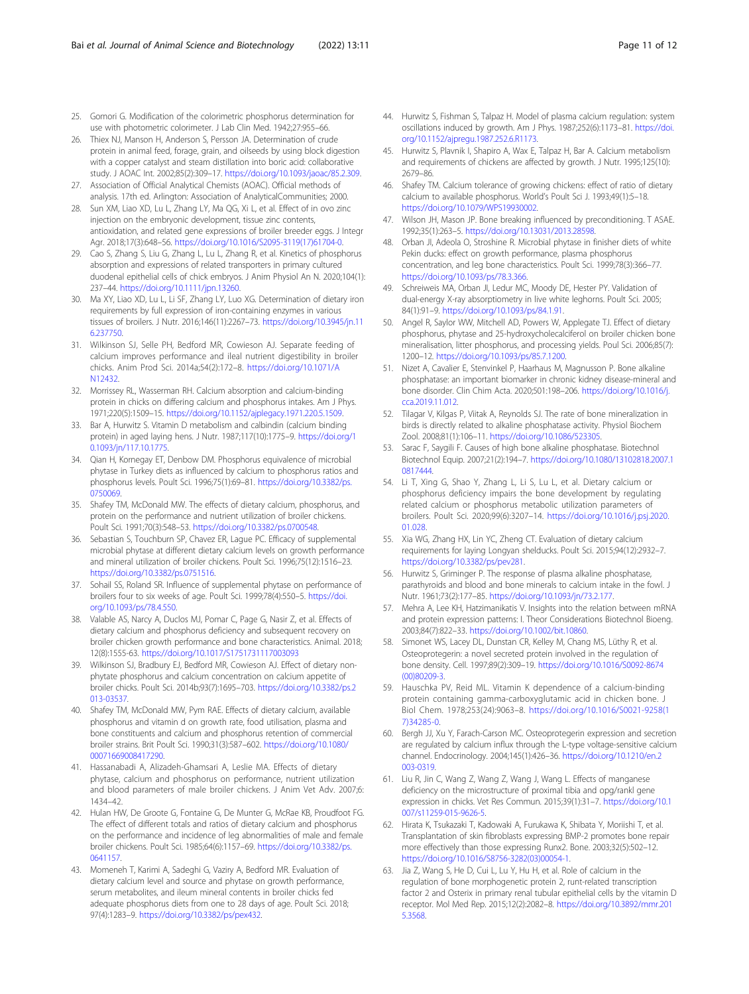- <span id="page-10-0"></span>25. Gomori G. Modification of the colorimetric phosphorus determination for use with photometric colorimeter. J Lab Clin Med. 1942;27:955–66.
- 26. Thiex NJ, Manson H, Anderson S, Persson JA. Determination of crude protein in animal feed, forage, grain, and oilseeds by using block digestion with a copper catalyst and steam distillation into boric acid: collaborative study. J AOAC Int. 2002;85(2):309–17. <https://doi.org/10.1093/jaoac/85.2.309>.
- 27. Association of Official Analytical Chemists (AOAC). Official methods of analysis. 17th ed. Arlington: Association of AnalyticalCommunities; 2000.
- 28. Sun XM, Liao XD, Lu L, Zhang LY, Ma QG, Xi L, et al. Effect of in ovo zinc injection on the embryonic development, tissue zinc contents, antioxidation, and related gene expressions of broiler breeder eggs. J Integr Agr. 2018;17(3):648–56. [https://doi.org/10.1016/S2095-3119\(17\)61704-0.](https://doi.org/10.1016/S2095-3119(17)61704-0)
- 29. Cao S, Zhang S, Liu G, Zhang L, Lu L, Zhang R, et al. Kinetics of phosphorus absorption and expressions of related transporters in primary cultured duodenal epithelial cells of chick embryos. J Anim Physiol An N. 2020;104(1): 237–44. <https://doi.org/10.1111/jpn.13260>.
- 30. Ma XY, Liao XD, Lu L, Li SF, Zhang LY, Luo XG. Determination of dietary iron requirements by full expression of iron-containing enzymes in various tissues of broilers. J Nutr. 2016;146(11):2267–73. [https://doi.org/10.3945/jn.11](https://doi.org/10.3945/jn.116.237750) [6.237750.](https://doi.org/10.3945/jn.116.237750)
- 31. Wilkinson SJ, Selle PH, Bedford MR, Cowieson AJ. Separate feeding of calcium improves performance and ileal nutrient digestibility in broiler chicks. Anim Prod Sci. 2014a;54(2):172–8. [https://doi.org/10.1071/A](https://doi.org/10.1071/AN12432) [N12432.](https://doi.org/10.1071/AN12432)
- 32. Morrissey RL, Wasserman RH. Calcium absorption and calcium-binding protein in chicks on differing calcium and phosphorus intakes. Am J Phys. 1971;220(5):1509–15. <https://doi.org/10.1152/ajplegacy.1971.220.5.1509>.
- 33. Bar A, Hurwitz S. Vitamin D metabolism and calbindin (calcium binding protein) in aged laying hens. J Nutr. 1987;117(10):1775–9. [https://doi.org/1](https://doi.org/10.1093/jn/117.10.1775) [0.1093/jn/117.10.1775](https://doi.org/10.1093/jn/117.10.1775).
- 34. Qian H, Kornegay ET, Denbow DM. Phosphorus equivalence of microbial phytase in Turkey diets as influenced by calcium to phosphorus ratios and phosphorus levels. Poult Sci. 1996;75(1):69–81. [https://doi.org/10.3382/ps.](https://doi.org/10.3382/ps.0750069) [0750069.](https://doi.org/10.3382/ps.0750069)
- 35. Shafey TM, McDonald MW. The effects of dietary calcium, phosphorus, and protein on the performance and nutrient utilization of broiler chickens. Poult Sci. 1991;70(3):548–53. <https://doi.org/10.3382/ps.0700548>.
- 36. Sebastian S, Touchburn SP, Chavez ER, Lague PC. Efficacy of supplemental microbial phytase at different dietary calcium levels on growth performance and mineral utilization of broiler chickens. Poult Sci. 1996;75(12):1516–23. <https://doi.org/10.3382/ps.0751516>.
- 37. Sohail SS, Roland SR. Influence of supplemental phytase on performance of broilers four to six weeks of age. Poult Sci. 1999;78(4):550–5. [https://doi.](https://doi.org/10.1093/ps/78.4.550) [org/10.1093/ps/78.4.550.](https://doi.org/10.1093/ps/78.4.550)
- 38. Valable AS, Narcy A, Duclos MJ, Pomar C, Page G, Nasir Z, et al. Effects of dietary calcium and phosphorus deficiency and subsequent recovery on broiler chicken growth performance and bone characteristics. Animal. 2018; 12(8):1555-63. <https://doi.org/10.1017/S1751731117003093>
- 39. Wilkinson SJ, Bradbury EJ, Bedford MR, Cowieson AJ. Effect of dietary nonphytate phosphorus and calcium concentration on calcium appetite of broiler chicks. Poult Sci. 2014b;93(7):1695–703. [https://doi.org/10.3382/ps.2](https://doi.org/10.3382/ps.2013-03537) [013-03537](https://doi.org/10.3382/ps.2013-03537).
- 40. Shafey TM, McDonald MW, Pym RAE. Effects of dietary calcium, available phosphorus and vitamin d on growth rate, food utilisation, plasma and bone constituents and calcium and phosphorus retention of commercial broiler strains. Brit Poult Sci. 1990;31(3):587–602. [https://doi.org/10.1080/](https://doi.org/10.1080/00071669008417290) [00071669008417290.](https://doi.org/10.1080/00071669008417290)
- 41. Hassanabadi A, Alizadeh-Ghamsari A, Leslie MA. Effects of dietary phytase, calcium and phosphorus on performance, nutrient utilization and blood parameters of male broiler chickens. J Anim Vet Adv. 2007;6: 1434–42.
- 42. Hulan HW, De Groote G, Fontaine G, De Munter G, McRae KB, Proudfoot FG. The effect of different totals and ratios of dietary calcium and phosphorus on the performance and incidence of leg abnormalities of male and female broiler chickens. Poult Sci. 1985;64(6):1157–69. [https://doi.org/10.3382/ps.](https://doi.org/10.3382/ps.0641157) [0641157.](https://doi.org/10.3382/ps.0641157)
- 43. Momeneh T, Karimi A, Sadeghi G, Vaziry A, Bedford MR. Evaluation of dietary calcium level and source and phytase on growth performance, serum metabolites, and ileum mineral contents in broiler chicks fed adequate phosphorus diets from one to 28 days of age. Poult Sci. 2018; 97(4):1283–9. <https://doi.org/10.3382/ps/pex432>.
- 44. Hurwitz S, Fishman S, Talpaz H. Model of plasma calcium regulation: system oscillations induced by growth. Am J Phys. 1987;252(6):1173–81. [https://doi.](https://doi.org/10.1152/ajpregu.1987.252.6.R1173) [org/10.1152/ajpregu.1987.252.6.R1173.](https://doi.org/10.1152/ajpregu.1987.252.6.R1173)
- 45. Hurwitz S, Plavnik I, Shapiro A, Wax E, Talpaz H, Bar A. Calcium metabolism and requirements of chickens are affected by growth. J Nutr. 1995;125(10): 2679–86.
- 46. Shafey TM. Calcium tolerance of growing chickens: effect of ratio of dietary calcium to available phosphorus. World's Poult Sci J. 1993;49(1):5–18. [https://doi.org/10.1079/WPS19930002.](https://doi.org/10.1079/WPS19930002)
- 47. Wilson JH, Mason JP. Bone breaking influenced by preconditioning. T ASAE. 1992;35(1):263–5. [https://doi.org/10.13031/2013.28598.](https://doi.org/10.13031/2013.28598)
- 48. Orban JI, Adeola O, Stroshine R. Microbial phytase in finisher diets of white Pekin ducks: effect on growth performance, plasma phosphorus concentration, and leg bone characteristics. Poult Sci. 1999;78(3):366–77. [https://doi.org/10.1093/ps/78.3.366.](https://doi.org/10.1093/ps/78.3.366)
- 49. Schreiweis MA, Orban JI, Ledur MC, Moody DE, Hester PY. Validation of dual-energy X-ray absorptiometry in live white leghorns. Poult Sci. 2005; 84(1):91–9. [https://doi.org/10.1093/ps/84.1.91.](https://doi.org/10.1093/ps/84.1.91)
- 50. Angel R, Saylor WW, Mitchell AD, Powers W, Applegate TJ. Effect of dietary phosphorus, phytase and 25-hydroxycholecalciferol on broiler chicken bone mineralisation, litter phosphorus, and processing yields. Poul Sci. 2006;85(7): 1200–12. <https://doi.org/10.1093/ps/85.7.1200>.
- 51. Nizet A, Cavalier E, Stenvinkel P, Haarhaus M, Magnusson P. Bone alkaline phosphatase: an important biomarker in chronic kidney disease-mineral and bone disorder. Clin Chim Acta. 2020;501:198–206. [https://doi.org/10.1016/j.](https://doi.org/10.1016/j.cca.2019.11.012) [cca.2019.11.012](https://doi.org/10.1016/j.cca.2019.11.012).
- 52. Tilagar V, Kilgas P, Viitak A, Reynolds SJ. The rate of bone mineralization in birds is directly related to alkaline phosphatase activity. Physiol Biochem Zool. 2008;81(1):106–11. <https://doi.org/10.1086/523305>.
- 53. Sarac F, Saygili F. Causes of high bone alkaline phosphatase. Biotechnol Biotechnol Equip. 2007;21(2):194–7. [https://doi.org/10.1080/13102818.2007.1](https://doi.org/10.1080/13102818.2007.10817444) [0817444.](https://doi.org/10.1080/13102818.2007.10817444)
- 54. Li T, Xing G, Shao Y, Zhang L, Li S, Lu L, et al. Dietary calcium or phosphorus deficiency impairs the bone development by regulating related calcium or phosphorus metabolic utilization parameters of broilers. Poult Sci. 2020;99(6):3207–14. [https://doi.org/10.1016/j.psj.2020.](https://doi.org/10.1016/j.psj.2020.01.028) [01.028.](https://doi.org/10.1016/j.psj.2020.01.028)
- 55. Xia WG, Zhang HX, Lin YC, Zheng CT. Evaluation of dietary calcium requirements for laying Longyan shelducks. Poult Sci. 2015;94(12):2932–7. [https://doi.org/10.3382/ps/pev281.](https://doi.org/10.3382/ps/pev281)
- 56. Hurwitz S, Griminger P. The response of plasma alkaline phosphatase, parathyroids and blood and bone minerals to calcium intake in the fowl. J Nutr. 1961;73(2):177–85. <https://doi.org/10.1093/jn/73.2.177>.
- 57. Mehra A, Lee KH, Hatzimanikatis V. Insights into the relation between mRNA and protein expression patterns: I. Theor Considerations Biotechnol Bioeng. 2003;84(7):822–33. [https://doi.org/10.1002/bit.10860.](https://doi.org/10.1002/bit.10860)
- Simonet WS, Lacey DL, Dunstan CR, Kelley M, Chang MS, Lüthy R, et al. Osteoprotegerin: a novel secreted protein involved in the regulation of bone density. Cell. 1997;89(2):309–19. [https://doi.org/10.1016/S0092-8674](https://doi.org/10.1016/S0092-8674(00)80209-3) [\(00\)80209-3.](https://doi.org/10.1016/S0092-8674(00)80209-3)
- 59. Hauschka PV, Reid ML. Vitamin K dependence of a calcium-binding protein containing gamma-carboxyglutamic acid in chicken bone. J Biol Chem. 1978;253(24):9063–8. [https://doi.org/10.1016/S0021-9258\(1](https://doi.org/10.1016/S0021-9258(17)34285-0) [7\)34285-0](https://doi.org/10.1016/S0021-9258(17)34285-0).
- 60. Bergh JJ, Xu Y, Farach-Carson MC. Osteoprotegerin expression and secretion are regulated by calcium influx through the L-type voltage-sensitive calcium channel. Endocrinology. 2004;145(1):426–36. [https://doi.org/10.1210/en.2](https://doi.org/10.1210/en.2003-0319) [003-0319.](https://doi.org/10.1210/en.2003-0319)
- 61. Liu R, Jin C, Wang Z, Wang Z, Wang J, Wang L. Effects of manganese deficiency on the microstructure of proximal tibia and opg/rankl gene expression in chicks. Vet Res Commun. 2015;39(1):31–7. [https://doi.org/10.1](https://doi.org/10.1007/s11259-015-9626-5) [007/s11259-015-9626-5.](https://doi.org/10.1007/s11259-015-9626-5)
- 62. Hirata K, Tsukazaki T, Kadowaki A, Furukawa K, Shibata Y, Moriishi T, et al. Transplantation of skin fibroblasts expressing BMP-2 promotes bone repair more effectively than those expressing Runx2. Bone. 2003;32(5):502–12. [https://doi.org/10.1016/S8756-3282\(03\)00054-1.](https://doi.org/10.1016/S8756-3282(03)00054-1)
- 63. Jia Z, Wang S, He D, Cui L, Lu Y, Hu H, et al. Role of calcium in the regulation of bone morphogenetic protein 2, runt-related transcription factor 2 and Osterix in primary renal tubular epithelial cells by the vitamin D receptor. Mol Med Rep. 2015;12(2):2082–8. [https://doi.org/10.3892/mmr.201](https://doi.org/10.3892/mmr.2015.3568) [5.3568](https://doi.org/10.3892/mmr.2015.3568).